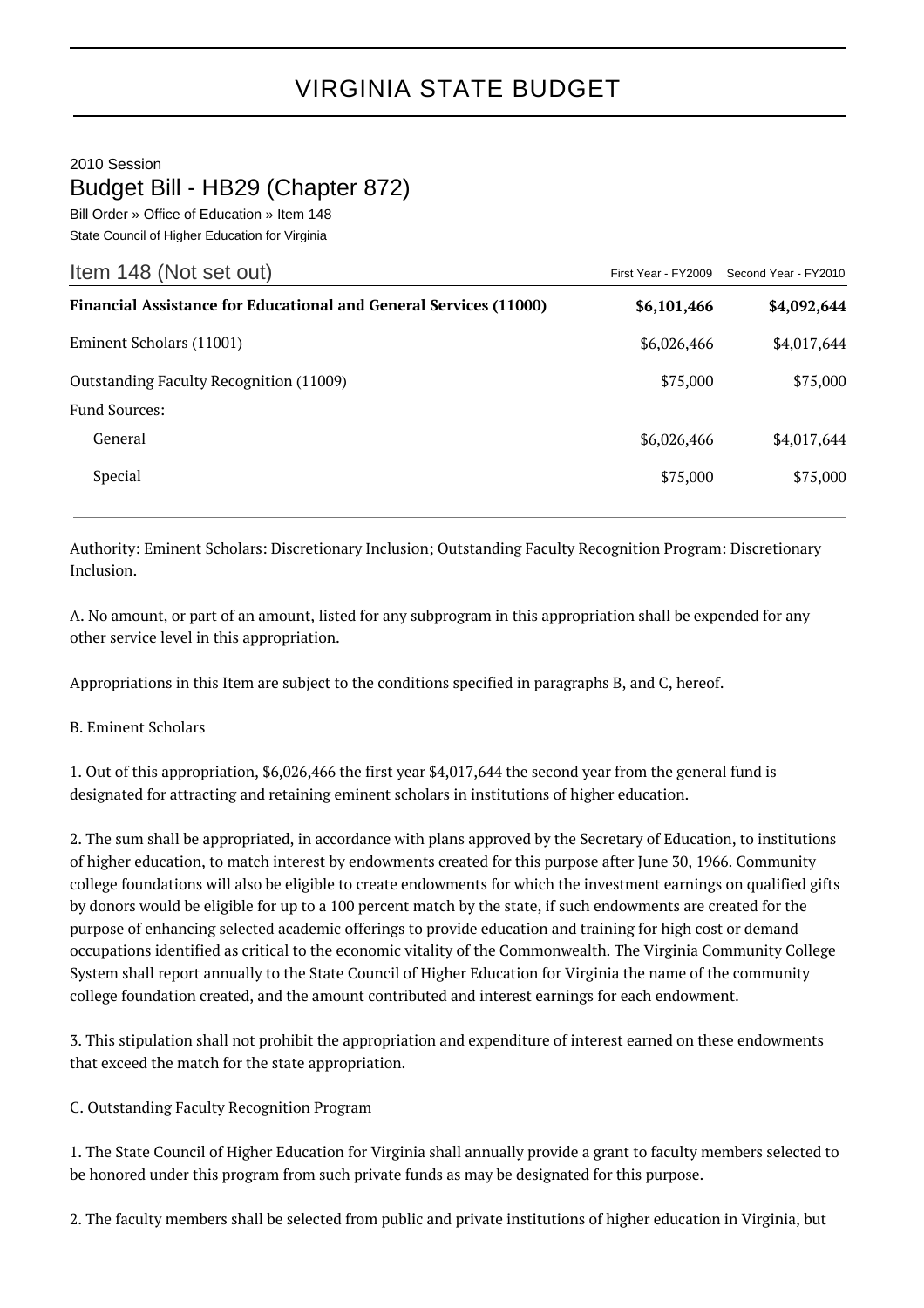## VIRGINIA STATE BUDGET

2010 Session

## Budget Bill - HB29 (Chapter 872)

Bill Order » Office of Education » Item 148 State Council of Higher Education for Virginia

| Item 148 (Not set out)                                                   |             | First Year - FY2009 Second Year - FY2010 |
|--------------------------------------------------------------------------|-------------|------------------------------------------|
| <b>Financial Assistance for Educational and General Services (11000)</b> | \$6,101,466 | \$4,092,644                              |
| Eminent Scholars (11001)                                                 | \$6,026,466 | \$4,017,644                              |
| Outstanding Faculty Recognition (11009)                                  | \$75,000    | \$75,000                                 |
| <b>Fund Sources:</b>                                                     |             |                                          |
| General                                                                  | \$6,026,466 | \$4,017,644                              |
| Special                                                                  | \$75,000    | \$75,000                                 |

Authority: Eminent Scholars: Discretionary Inclusion; Outstanding Faculty Recognition Program: Discretionary Inclusion.

A. No amount, or part of an amount, listed for any subprogram in this appropriation shall be expended for any other service level in this appropriation.

Appropriations in this Item are subject to the conditions specified in paragraphs B, and C, hereof.

## B. Eminent Scholars

1. Out of this appropriation, \$6,026,466 the first year \$4,017,644 the second year from the general fund is designated for attracting and retaining eminent scholars in institutions of higher education.

2. The sum shall be appropriated, in accordance with plans approved by the Secretary of Education, to institutions of higher education, to match interest by endowments created for this purpose after June 30, 1966. Community college foundations will also be eligible to create endowments for which the investment earnings on qualified gifts by donors would be eligible for up to a 100 percent match by the state, if such endowments are created for the purpose of enhancing selected academic offerings to provide education and training for high cost or demand occupations identified as critical to the economic vitality of the Commonwealth. The Virginia Community College System shall report annually to the State Council of Higher Education for Virginia the name of the community college foundation created, and the amount contributed and interest earnings for each endowment.

3. This stipulation shall not prohibit the appropriation and expenditure of interest earned on these endowments that exceed the match for the state appropriation.

C. Outstanding Faculty Recognition Program

1. The State Council of Higher Education for Virginia shall annually provide a grant to faculty members selected to be honored under this program from such private funds as may be designated for this purpose.

2. The faculty members shall be selected from public and private institutions of higher education in Virginia, but